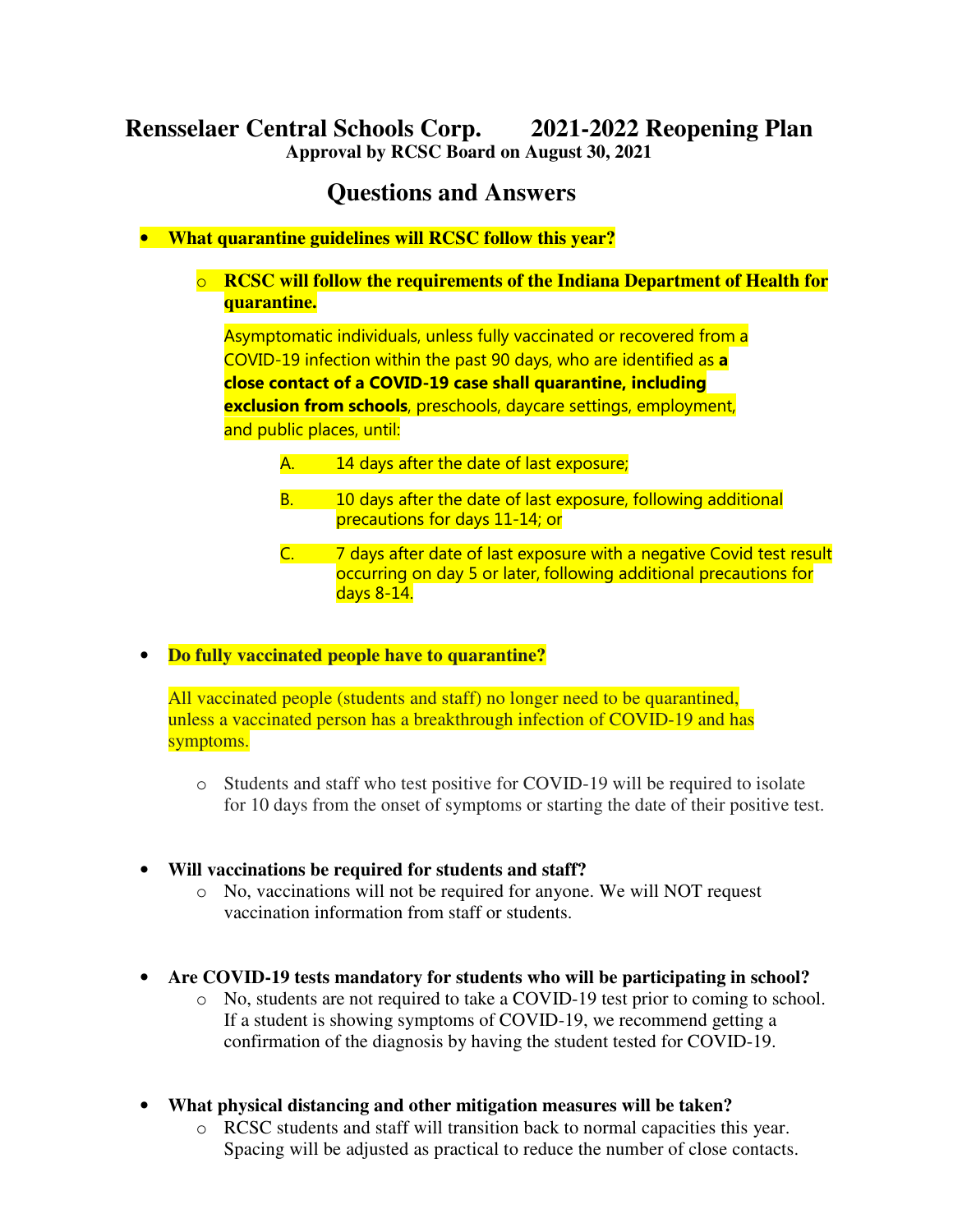# **Rensselaer Central Schools Corp. 2021-2022 Reopening Plan**

**Approval by RCSC Board on August 30, 2021** 

## **Questions and Answers**

• **What quarantine guidelines will RCSC follow this year?** 

#### o **RCSC will follow the requirements of the Indiana Department of Health for quarantine.**

Asymptomatic individuals, unless fully vaccinated or recovered from a COVID-19 infection within the past 90 days, who are identified as a close contact of a COVID-19 case shall quarantine, including exclusion from schools, preschools, daycare settings, employment, and public places, until:

- A. 14 days after the date of last exposure;
- B. 10 days after the date of last exposure, following additional precautions for days 11-14; or
- C.  $\overline{7}$  days after date of last exposure with a negative Covid test result occurring on day 5 or later, following additional precautions for days 8-14.
- **Do fully vaccinated people have to quarantine?**

All vaccinated people (students and staff) no longer need to be quarantined, unless a vaccinated person has a breakthrough infection of COVID-19 and has symptoms.

- o Students and staff who test positive for COVID-19 will be required to isolate for 10 days from the onset of symptoms or starting the date of their positive test.
- **Will vaccinations be required for students and staff?** 
	- o No, vaccinations will not be required for anyone. We will NOT request vaccination information from staff or students.
- **Are COVID-19 tests mandatory for students who will be participating in school?** 
	- o No, students are not required to take a COVID-19 test prior to coming to school. If a student is showing symptoms of COVID-19, we recommend getting a confirmation of the diagnosis by having the student tested for COVID-19.
- **What physical distancing and other mitigation measures will be taken?** 
	- $\circ$  RCSC students and staff will transition back to normal capacities this year. Spacing will be adjusted as practical to reduce the number of close contacts.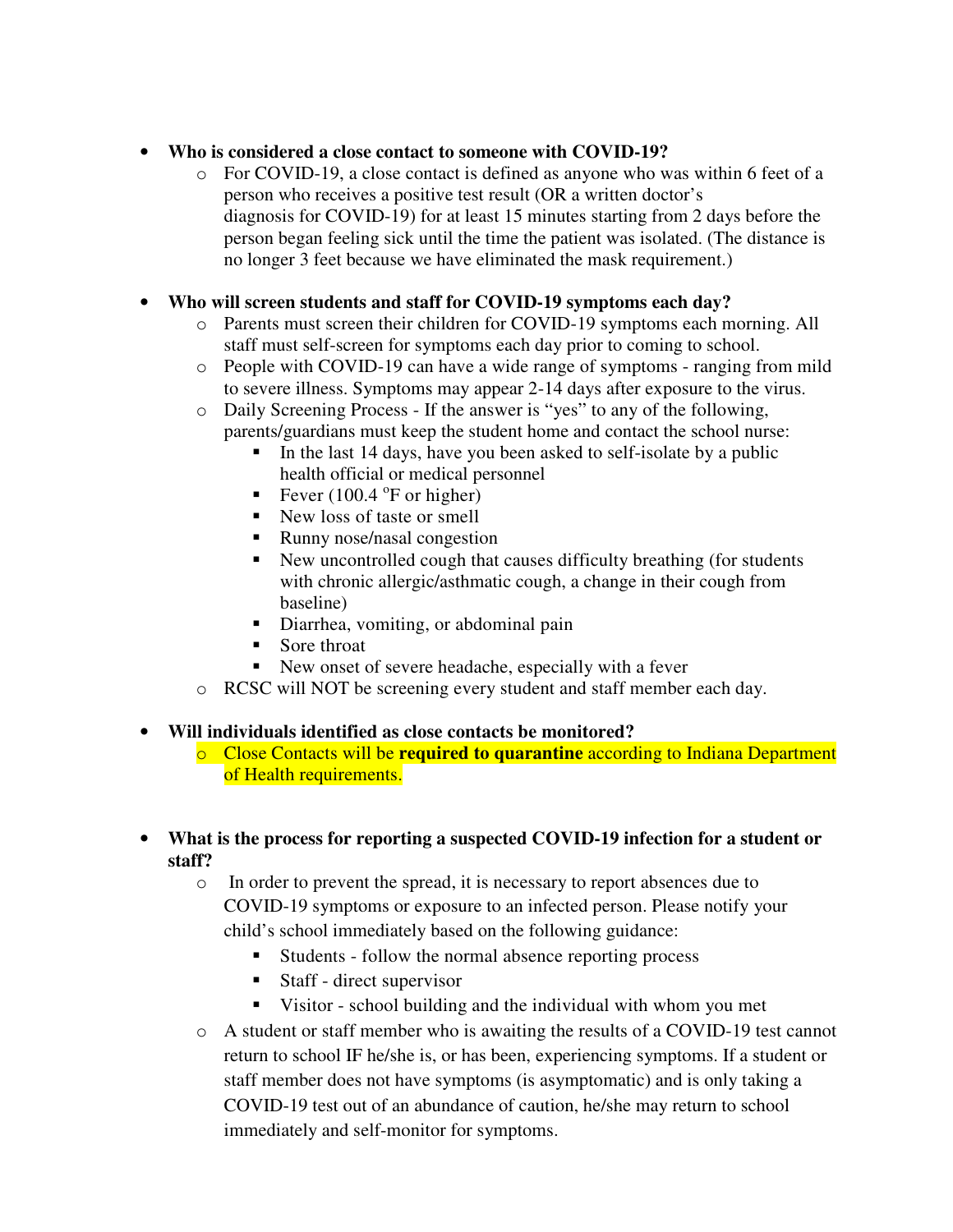## • **Who is considered a close contact to someone with COVID-19?**

 $\circ$  For COVID-19, a close contact is defined as anyone who was within 6 feet of a person who receives a positive test result (OR a written doctor's diagnosis for COVID-19) for at least 15 minutes starting from 2 days before the person began feeling sick until the time the patient was isolated. (The distance is no longer 3 feet because we have eliminated the mask requirement.)

## • **Who will screen students and staff for COVID-19 symptoms each day?**

- o Parents must screen their children for COVID-19 symptoms each morning. All staff must self-screen for symptoms each day prior to coming to school.
- o People with COVID-19 can have a wide range of symptoms ranging from mild to severe illness. Symptoms may appear 2-14 days after exposure to the virus.
- o Daily Screening Process If the answer is "yes" to any of the following, parents/guardians must keep the student home and contact the school nurse:
	- In the last 14 days, have you been asked to self-isolate by a public health official or medical personnel
	- Fever  $(100.4 \text{°F or higher})$
	- New loss of taste or smell
	- Runny nose/nasal congestion
	- New uncontrolled cough that causes difficulty breathing (for students with chronic allergic/asthmatic cough, a change in their cough from baseline)
	- Diarrhea, vomiting, or abdominal pain
	- Sore throat
	- New onset of severe headache, especially with a fever
- o RCSC will NOT be screening every student and staff member each day.

## • **Will individuals identified as close contacts be monitored?**

- o Close Contacts will be **required to quarantine** according to Indiana Department of Health requirements.
- **What is the process for reporting a suspected COVID-19 infection for a student or staff?** 
	- o In order to prevent the spread, it is necessary to report absences due to COVID-19 symptoms or exposure to an infected person. Please notify your child's school immediately based on the following guidance:
		- Students follow the normal absence reporting process
		- Staff direct supervisor
		- Visitor school building and the individual with whom you met
	- o A student or staff member who is awaiting the results of a COVID-19 test cannot return to school IF he/she is, or has been, experiencing symptoms. If a student or staff member does not have symptoms (is asymptomatic) and is only taking a COVID-19 test out of an abundance of caution, he/she may return to school immediately and self-monitor for symptoms.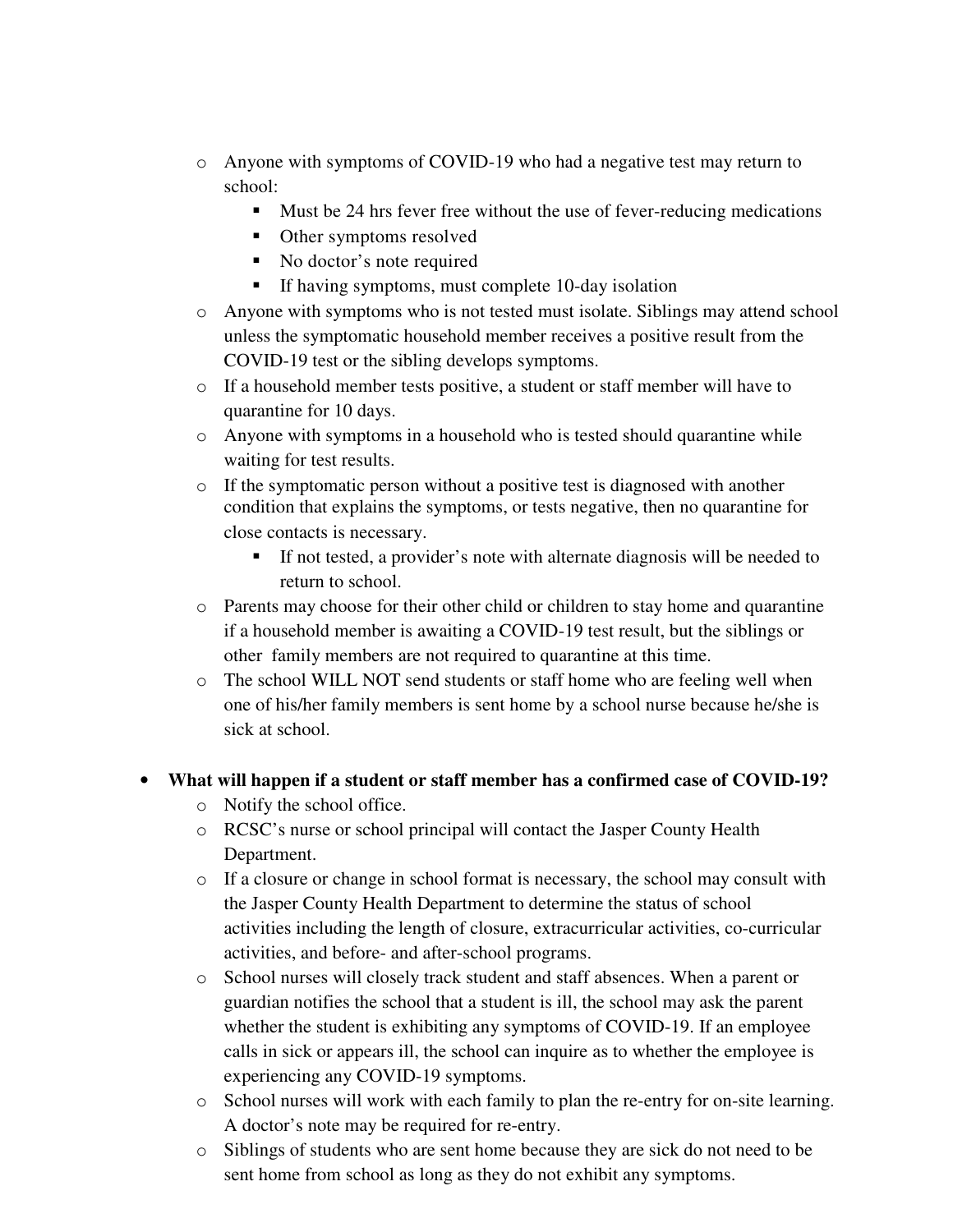- o Anyone with symptoms of COVID-19 who had a negative test may return to school:
	- Must be 24 hrs fever free without the use of fever-reducing medications
	- Other symptoms resolved
	- No doctor's note required
	- If having symptoms, must complete 10-day isolation
- o Anyone with symptoms who is not tested must isolate. Siblings may attend school unless the symptomatic household member receives a positive result from the COVID-19 test or the sibling develops symptoms.
- $\circ$  If a household member tests positive, a student or staff member will have to quarantine for 10 days.
- o Anyone with symptoms in a household who is tested should quarantine while waiting for test results.
- o If the symptomatic person without a positive test is diagnosed with another condition that explains the symptoms, or tests negative, then no quarantine for close contacts is necessary.
	- If not tested, a provider's note with alternate diagnosis will be needed to return to school.
- o Parents may choose for their other child or children to stay home and quarantine if a household member is awaiting a COVID-19 test result, but the siblings or other family members are not required to quarantine at this time.
- o The school WILL NOT send students or staff home who are feeling well when one of his/her family members is sent home by a school nurse because he/she is sick at school.

## • **What will happen if a student or staff member has a confirmed case of COVID-19?**

- o Notify the school office.
- o RCSC's nurse or school principal will contact the Jasper County Health Department.
- $\circ$  If a closure or change in school format is necessary, the school may consult with the Jasper County Health Department to determine the status of school activities including the length of closure, extracurricular activities, co-curricular activities, and before- and after-school programs.
- o School nurses will closely track student and staff absences. When a parent or guardian notifies the school that a student is ill, the school may ask the parent whether the student is exhibiting any symptoms of COVID-19. If an employee calls in sick or appears ill, the school can inquire as to whether the employee is experiencing any COVID-19 symptoms.
- o School nurses will work with each family to plan the re-entry for on-site learning. A doctor's note may be required for re-entry.
- o Siblings of students who are sent home because they are sick do not need to be sent home from school as long as they do not exhibit any symptoms.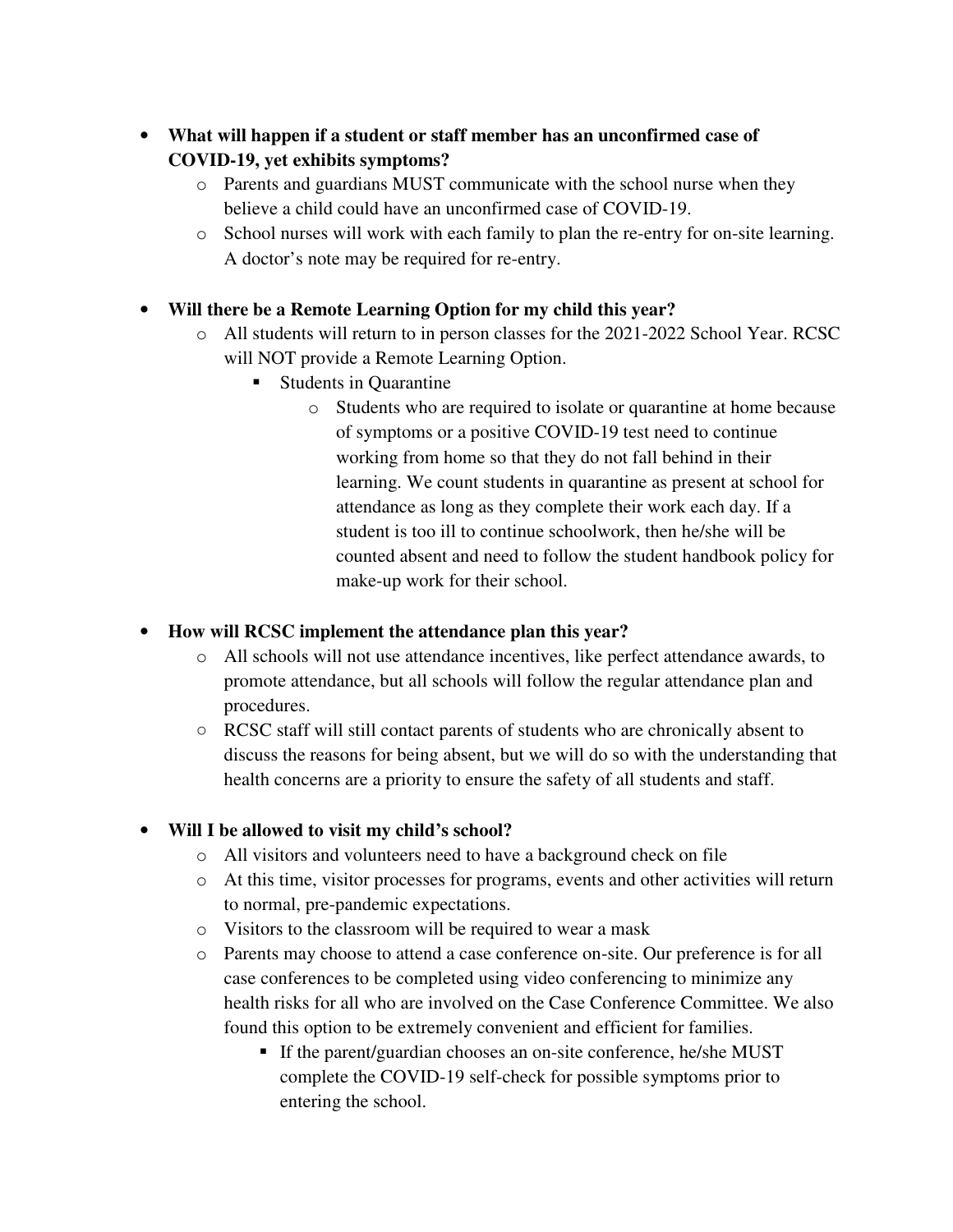- **What will happen if a student or staff member has an unconfirmed case of COVID-19, yet exhibits symptoms?** 
	- o Parents and guardians MUST communicate with the school nurse when they believe a child could have an unconfirmed case of COVID-19.
	- o School nurses will work with each family to plan the re-entry for on-site learning. A doctor's note may be required for re-entry.
- **Will there be a Remote Learning Option for my child this year?** 
	- o All students will return to in person classes for the 2021-2022 School Year. RCSC will NOT provide a Remote Learning Option.
		- Students in Quarantine
			- o Students who are required to isolate or quarantine at home because of symptoms or a positive COVID-19 test need to continue working from home so that they do not fall behind in their learning. We count students in quarantine as present at school for attendance as long as they complete their work each day. If a student is too ill to continue schoolwork, then he/she will be counted absent and need to follow the student handbook policy for make-up work for their school.

## • **How will RCSC implement the attendance plan this year?**

- o All schools will not use attendance incentives, like perfect attendance awards, to promote attendance, but all schools will follow the regular attendance plan and procedures.
- RCSC staff will still contact parents of students who are chronically absent to discuss the reasons for being absent, but we will do so with the understanding that health concerns are a priority to ensure the safety of all students and staff.

## • **Will I be allowed to visit my child's school?**

- o All visitors and volunteers need to have a background check on file
- o At this time, visitor processes for programs, events and other activities will return to normal, pre-pandemic expectations.
- o Visitors to the classroom will be required to wear a mask
- o Parents may choose to attend a case conference on-site. Our preference is for all case conferences to be completed using video conferencing to minimize any health risks for all who are involved on the Case Conference Committee. We also found this option to be extremely convenient and efficient for families.
	- If the parent/guardian chooses an on-site conference, he/she MUST complete the COVID-19 self-check for possible symptoms prior to entering the school.